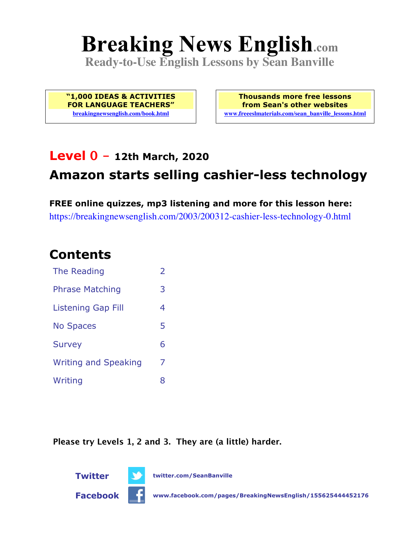# **Breaking News English.com**

**Ready-to-Use English Lessons by Sean Banville**

**"1,000 IDEAS & ACTIVITIES FOR LANGUAGE TEACHERS" breakingnewsenglish.com/book.html**

**Thousands more free lessons from Sean's other websites www.freeeslmaterials.com/sean\_banville\_lessons.html**

### **Level 0 - 12th March, 2020**

# **Amazon starts selling cashier-less technology**

**FREE online quizzes, mp3 listening and more for this lesson here:** https://breakingnewsenglish.com/2003/200312-cashier-less-technology-0.html

### **Contents**

| The Reading                 | $\overline{\mathcal{L}}$ |
|-----------------------------|--------------------------|
| <b>Phrase Matching</b>      | 3                        |
| <b>Listening Gap Fill</b>   | 4                        |
| <b>No Spaces</b>            | 5                        |
| <b>Survey</b>               | 6                        |
| <b>Writing and Speaking</b> | 7                        |
| Writing                     | 8                        |

**Please try Levels 1, 2 and 3. They are (a little) harder.**

**Twitter twitter.com/SeanBanville**



**Facebook www.facebook.com/pages/BreakingNewsEnglish/155625444452176**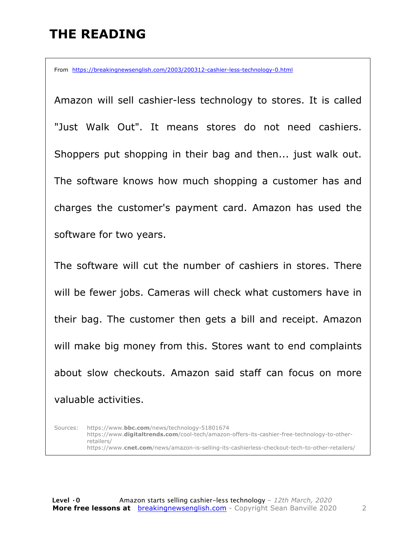# **THE READING**

From https://breakingnewsenglish.com/2003/200312-cashier-less-technology-0.html

Amazon will sell cashier-less technology to stores. It is called "Just Walk Out". It means stores do not need cashiers. Shoppers put shopping in their bag and then... just walk out. The software knows how much shopping a customer has and charges the customer's payment card. Amazon has used the software for two years.

The software will cut the number of cashiers in stores. There will be fewer jobs. Cameras will check what customers have in their bag. The customer then gets a bill and receipt. Amazon will make big money from this. Stores want to end complaints about slow checkouts. Amazon said staff can focus on more valuable activities.

Sources: https://www.**bbc.com**/news/technology-51801674 https://www.**digitaltrends.com**/cool-tech/amazon-offers-its-cashier-free-technology-to-otherretailers/ https://www.**cnet.com**/news/amazon-is-selling-its-cashierless-checkout-tech-to-other-retailers/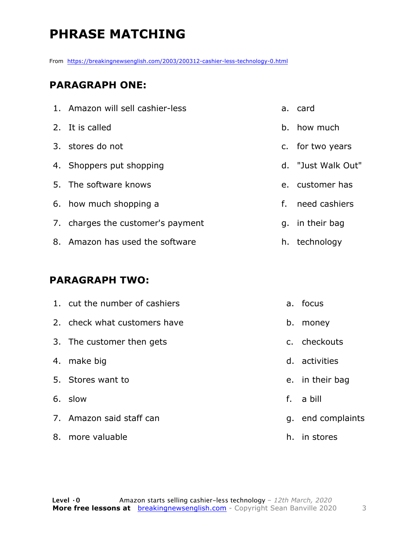# **PHRASE MATCHING**

From https://breakingnewsenglish.com/2003/200312-cashier-less-technology-0.html

#### **PARAGRAPH ONE:**

| 1. Amazon will sell cashier-less  | a. | card               |
|-----------------------------------|----|--------------------|
| 2. It is called                   |    | b. how much        |
| 3. stores do not                  |    | c. for two years   |
| 4. Shoppers put shopping          |    | d. "Just Walk Out" |
| 5. The software knows             |    | e. customer has    |
| 6. how much shopping a            | f. | need cashiers      |
| 7. charges the customer's payment |    | g. in their bag    |
| 8. Amazon has used the software   |    | h. technology      |

#### **PARAGRAPH TWO:**

| 1. cut the number of cashiers |    | a. focus          |
|-------------------------------|----|-------------------|
| 2. check what customers have  | b. | money             |
| 3. The customer then gets     |    | c. checkouts      |
| 4. make big                   |    | d. activities     |
| 5. Stores want to             |    | e. in their bag   |
| 6. slow                       | f. | a bill            |
| 7. Amazon said staff can      |    | g. end complaints |
| 8. more valuable              | h. | in stores         |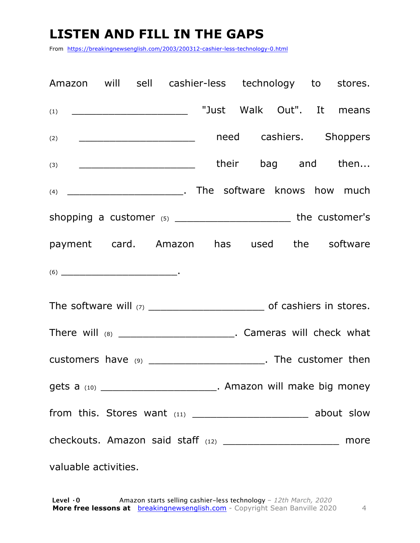# **LISTEN AND FILL IN THE GAPS**

From https://breakingnewsenglish.com/2003/200312-cashier-less-technology-0.html

| Amazon will sell cashier-less technology to stores.                                                                                                                                                                                                                                                                                                                                                        |                           |  |  |
|------------------------------------------------------------------------------------------------------------------------------------------------------------------------------------------------------------------------------------------------------------------------------------------------------------------------------------------------------------------------------------------------------------|---------------------------|--|--|
| $(1) \qquad \qquad \qquad \overbrace{\qquad \qquad }^{(1)}$                                                                                                                                                                                                                                                                                                                                                | "Just Walk Out". It means |  |  |
| (2) ___________________________________ need cashiers. Shoppers                                                                                                                                                                                                                                                                                                                                            |                           |  |  |
| $(3)$ $\qquad \qquad$ their bag and then                                                                                                                                                                                                                                                                                                                                                                   |                           |  |  |
|                                                                                                                                                                                                                                                                                                                                                                                                            |                           |  |  |
| shopping a customer $(5)$ _________________________________the customer's                                                                                                                                                                                                                                                                                                                                  |                           |  |  |
| payment card. Amazon has used the software                                                                                                                                                                                                                                                                                                                                                                 |                           |  |  |
| $(6) \begin{tabular}{l} \hline \rule[1em]{1em}{1em} \rule[1em]{1em}{1em} \rule[1em]{1em}{1em} \rule[1em]{1em}{1em} \rule[1em]{1em}{1em} \rule[1em]{1em}{1em} \rule[1em]{1em}{1em} \rule[1em]{1em}{1em} \rule[1em]{1em}{1em} \rule[1em]{1em}{1em} \rule[1em]{1em}{1em} \rule[1em]{1em}{1em} \rule[1em]{1em}{1em} \rule[1em]{1em}{1em} \rule[1em]{1em}{1em} \rule[1em]{1em}{1em} \rule[1em]{1em}{1em} \rule$ |                           |  |  |
|                                                                                                                                                                                                                                                                                                                                                                                                            |                           |  |  |
| There will (8) _______________________________. Cameras will check what                                                                                                                                                                                                                                                                                                                                    |                           |  |  |
| customers have (9) ________________________. The customer then                                                                                                                                                                                                                                                                                                                                             |                           |  |  |
| gets a (10) ______________________________. Amazon will make big money                                                                                                                                                                                                                                                                                                                                     |                           |  |  |
|                                                                                                                                                                                                                                                                                                                                                                                                            |                           |  |  |
| checkouts. Amazon said staff (12) _________________________ more                                                                                                                                                                                                                                                                                                                                           |                           |  |  |
| valuable activities.                                                                                                                                                                                                                                                                                                                                                                                       |                           |  |  |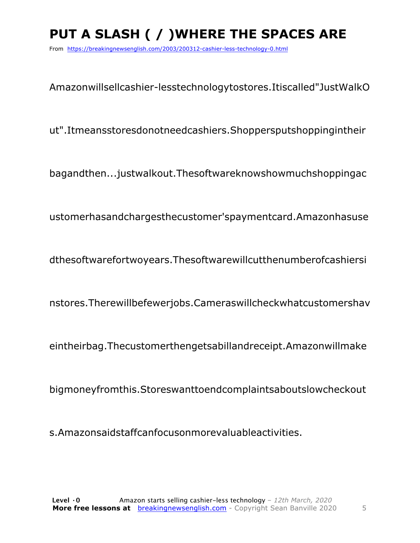# **PUT A SLASH ( / )WHERE THE SPACES ARE**

From https://breakingnewsenglish.com/2003/200312-cashier-less-technology-0.html

Amazonwillsellcashier-lesstechnologytostores.Itiscalled"JustWalkO

ut".Itmeansstoresdonotneedcashiers.Shoppersputshoppingintheir

bagandthen...justwalkout.Thesoftwareknowshowmuchshoppingac

ustomerhasandchargesthecustomer'spaymentcard.Amazonhasuse

dthesoftwarefortwoyears.Thesoftwarewillcutthenumberofcashiersi

nstores.Therewillbefewerjobs.Cameraswillcheckwhatcustomershav

eintheirbag.Thecustomerthengetsabillandreceipt.Amazonwillmake

bigmoneyfromthis.Storeswanttoendcomplaintsaboutslowcheckout

s.Amazonsaidstaffcanfocusonmorevaluableactivities.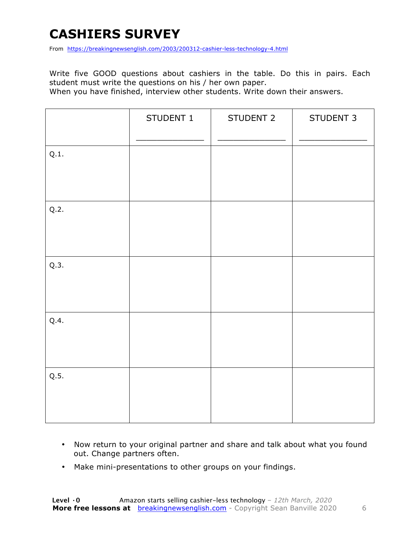# **CASHIERS SURVEY**

From https://breakingnewsenglish.com/2003/200312-cashier-less-technology-4.html

Write five GOOD questions about cashiers in the table. Do this in pairs. Each student must write the questions on his / her own paper.

When you have finished, interview other students. Write down their answers.

|      | STUDENT 1 | STUDENT 2 | STUDENT 3 |
|------|-----------|-----------|-----------|
| Q.1. |           |           |           |
| Q.2. |           |           |           |
| Q.3. |           |           |           |
| Q.4. |           |           |           |
| Q.5. |           |           |           |

- Now return to your original partner and share and talk about what you found out. Change partners often.
- Make mini-presentations to other groups on your findings.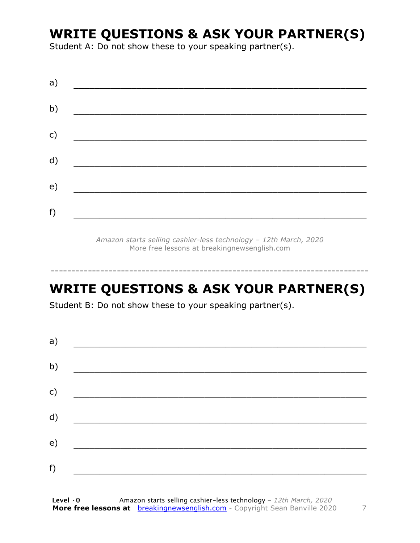### **WRITE QUESTIONS & ASK YOUR PARTNER(S)**

Student A: Do not show these to your speaking partner(s).

| a) |  |  |
|----|--|--|
| b) |  |  |
| c) |  |  |
| d) |  |  |
| e) |  |  |
| f) |  |  |
|    |  |  |

*Amazon starts selling cashier-less technology – 12th March, 2020* More free lessons at breakingnewsenglish.com

-----------------------------------------------------------------------------

# **WRITE QUESTIONS & ASK YOUR PARTNER(S)**

Student B: Do not show these to your speaking partner(s).

| a) |  |  |  |
|----|--|--|--|
| b) |  |  |  |
| c) |  |  |  |
| d) |  |  |  |
| e) |  |  |  |
| f) |  |  |  |
|    |  |  |  |